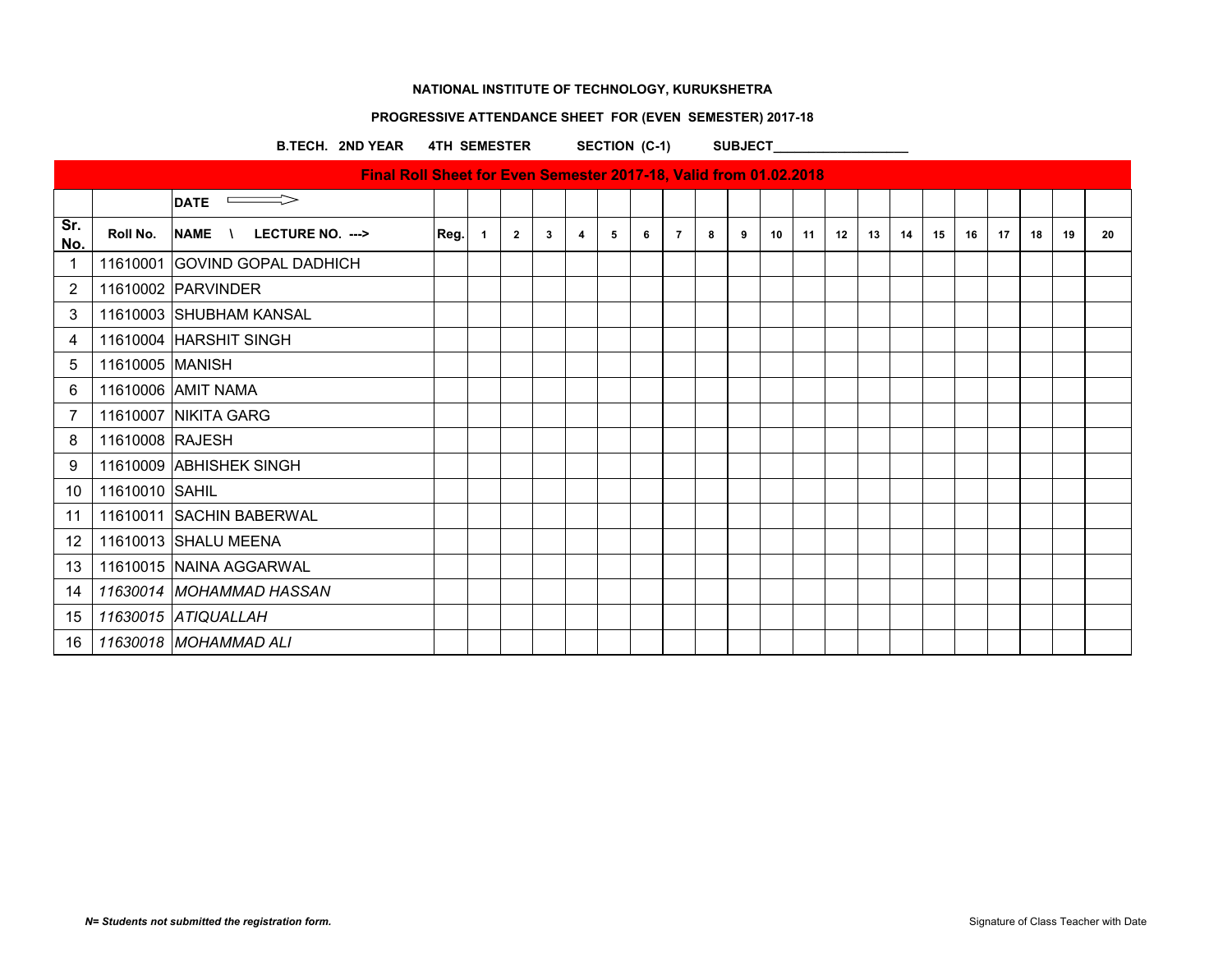## **PROGRESSIVE ATTENDANCE SHEET FOR (EVEN SEMESTER) 2017-18**

B.TECH. 2ND YEAR 4TH SEMESTER SECTION (C-1) SUBJECT\_

|                |                 | Final Roll Sheet for Even Semester 2017-18, Valid from 01.02.2018 |      |                |                |              |   |             |   |                |   |   |    |    |    |    |    |    |    |    |    |    |    |
|----------------|-----------------|-------------------------------------------------------------------|------|----------------|----------------|--------------|---|-------------|---|----------------|---|---|----|----|----|----|----|----|----|----|----|----|----|
|                |                 | $\implies$<br><b>DATE</b>                                         |      |                |                |              |   |             |   |                |   |   |    |    |    |    |    |    |    |    |    |    |    |
| Sr.<br>No.     | Roll No.        | <b>NAME</b><br>LECTURE NO. ---><br>$\mathcal{N}$                  | Reg. | $\blacksquare$ | $\overline{2}$ | $\mathbf{3}$ | 4 | $5^{\circ}$ | 6 | $\overline{7}$ | 8 | 9 | 10 | 11 | 12 | 13 | 14 | 15 | 16 | 17 | 18 | 19 | 20 |
| -1             |                 | 11610001 GOVIND GOPAL DADHICH                                     |      |                |                |              |   |             |   |                |   |   |    |    |    |    |    |    |    |    |    |    |    |
| $\overline{2}$ |                 | 11610002 PARVINDER                                                |      |                |                |              |   |             |   |                |   |   |    |    |    |    |    |    |    |    |    |    |    |
| 3              |                 | 11610003 SHUBHAM KANSAL                                           |      |                |                |              |   |             |   |                |   |   |    |    |    |    |    |    |    |    |    |    |    |
| $\overline{4}$ |                 | 11610004 HARSHIT SINGH                                            |      |                |                |              |   |             |   |                |   |   |    |    |    |    |    |    |    |    |    |    |    |
| 5              | 11610005 MANISH |                                                                   |      |                |                |              |   |             |   |                |   |   |    |    |    |    |    |    |    |    |    |    |    |
| 6              |                 | 11610006 AMIT NAMA                                                |      |                |                |              |   |             |   |                |   |   |    |    |    |    |    |    |    |    |    |    |    |
| 7              |                 | 11610007 NIKITA GARG                                              |      |                |                |              |   |             |   |                |   |   |    |    |    |    |    |    |    |    |    |    |    |
| 8              | 11610008 RAJESH |                                                                   |      |                |                |              |   |             |   |                |   |   |    |    |    |    |    |    |    |    |    |    |    |
| 9              |                 | 11610009 ABHISHEK SINGH                                           |      |                |                |              |   |             |   |                |   |   |    |    |    |    |    |    |    |    |    |    |    |
| 10             | 11610010 SAHIL  |                                                                   |      |                |                |              |   |             |   |                |   |   |    |    |    |    |    |    |    |    |    |    |    |
| 11             |                 | 11610011 SACHIN BABERWAL                                          |      |                |                |              |   |             |   |                |   |   |    |    |    |    |    |    |    |    |    |    |    |
| 12             |                 | 11610013 SHALU MEENA                                              |      |                |                |              |   |             |   |                |   |   |    |    |    |    |    |    |    |    |    |    |    |
| 13             |                 | 11610015 NAINA AGGARWAL                                           |      |                |                |              |   |             |   |                |   |   |    |    |    |    |    |    |    |    |    |    |    |
| 14             |                 | 11630014 MOHAMMAD HASSAN                                          |      |                |                |              |   |             |   |                |   |   |    |    |    |    |    |    |    |    |    |    |    |
| 15             |                 | 11630015 ATIQUALLAH                                               |      |                |                |              |   |             |   |                |   |   |    |    |    |    |    |    |    |    |    |    |    |
| 16             |                 | 11630018 MOHAMMAD ALI                                             |      |                |                |              |   |             |   |                |   |   |    |    |    |    |    |    |    |    |    |    |    |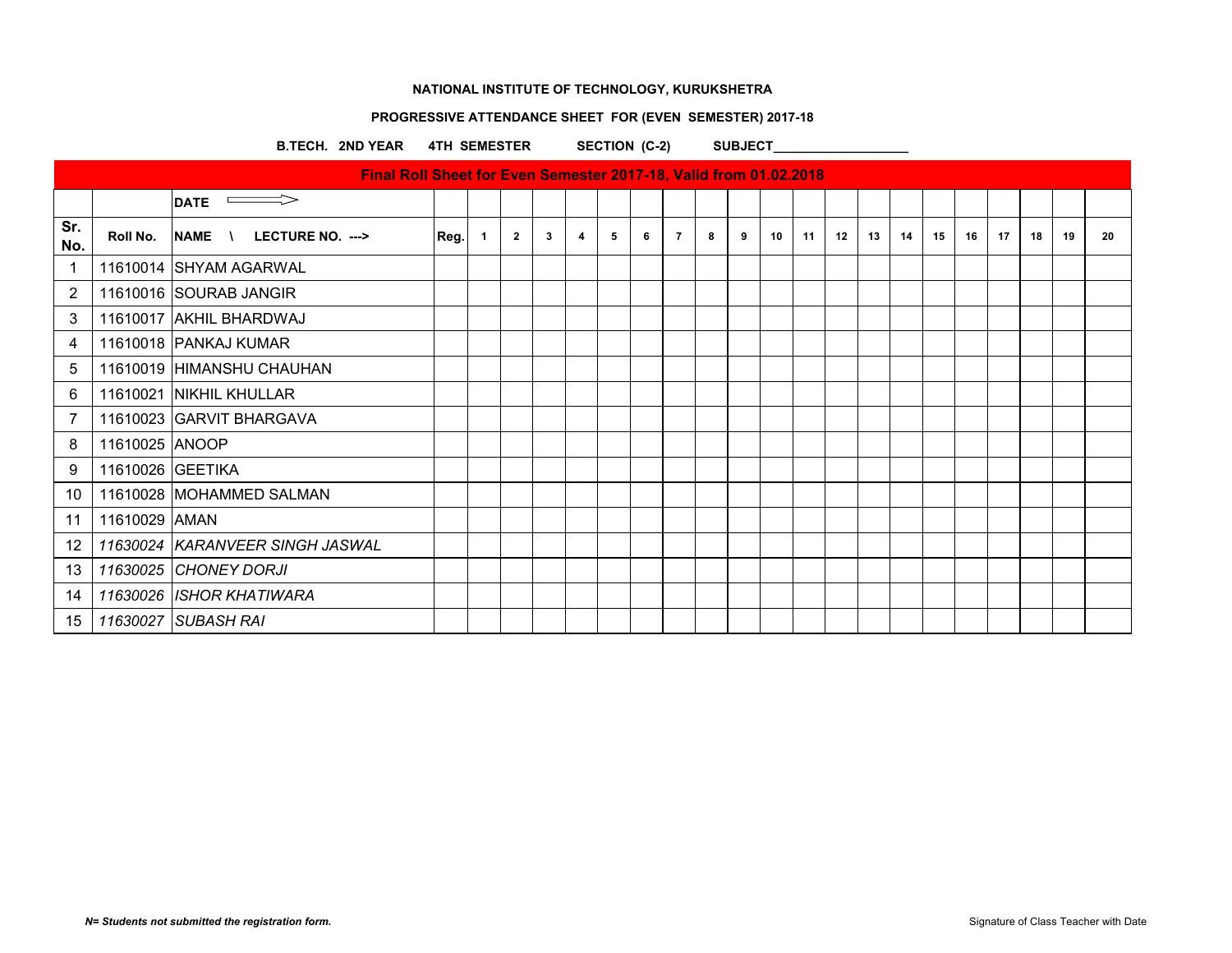## **PROGRESSIVE ATTENDANCE SHEET FOR (EVEN SEMESTER) 2017-18**

B.TECH. 2ND YEAR 4TH SEMESTER SECTION (C-2) SUBJECT

|                |                  | $\overline{\phantom{aa}}$ DATE  |      |    |              |   |   |   |   |                |   |   |    |    |    |    |    |    |    |    |    |    |    |
|----------------|------------------|---------------------------------|------|----|--------------|---|---|---|---|----------------|---|---|----|----|----|----|----|----|----|----|----|----|----|
| Sr.<br>No.     | Roll No.         | NAME \ LECTURE NO. --->         | Reg. | -1 | $\mathbf{2}$ | 3 | 4 | 5 | 6 | $\overline{7}$ | 8 | 9 | 10 | 11 | 12 | 13 | 14 | 15 | 16 | 17 | 18 | 19 | 20 |
| -1             |                  | 11610014 SHYAM AGARWAL          |      |    |              |   |   |   |   |                |   |   |    |    |    |    |    |    |    |    |    |    |    |
| $\overline{2}$ |                  | 11610016 SOURAB JANGIR          |      |    |              |   |   |   |   |                |   |   |    |    |    |    |    |    |    |    |    |    |    |
| 3              |                  | 11610017 AKHIL BHARDWAJ         |      |    |              |   |   |   |   |                |   |   |    |    |    |    |    |    |    |    |    |    |    |
| 4              |                  | 11610018 PANKAJ KUMAR           |      |    |              |   |   |   |   |                |   |   |    |    |    |    |    |    |    |    |    |    |    |
| 5              |                  | 11610019  HIMANSHU CHAUHAN      |      |    |              |   |   |   |   |                |   |   |    |    |    |    |    |    |    |    |    |    |    |
| 6              |                  | 11610021 NIKHIL KHULLAR         |      |    |              |   |   |   |   |                |   |   |    |    |    |    |    |    |    |    |    |    |    |
| 7              |                  | 11610023 GARVIT BHARGAVA        |      |    |              |   |   |   |   |                |   |   |    |    |    |    |    |    |    |    |    |    |    |
| 8              | 11610025 ANOOP   |                                 |      |    |              |   |   |   |   |                |   |   |    |    |    |    |    |    |    |    |    |    |    |
| 9              | 11610026 GEETIKA |                                 |      |    |              |   |   |   |   |                |   |   |    |    |    |    |    |    |    |    |    |    |    |
| 10             |                  | 11610028 MOHAMMED SALMAN        |      |    |              |   |   |   |   |                |   |   |    |    |    |    |    |    |    |    |    |    |    |
| 11             | 11610029 AMAN    |                                 |      |    |              |   |   |   |   |                |   |   |    |    |    |    |    |    |    |    |    |    |    |
| 12             |                  | 11630024 KARANVEER SINGH JASWAL |      |    |              |   |   |   |   |                |   |   |    |    |    |    |    |    |    |    |    |    |    |
| 13             |                  | 11630025 CHONEY DORJI           |      |    |              |   |   |   |   |                |   |   |    |    |    |    |    |    |    |    |    |    |    |
| 14             |                  | 11630026 ISHOR KHATIWARA        |      |    |              |   |   |   |   |                |   |   |    |    |    |    |    |    |    |    |    |    |    |
| 15             |                  | 11630027 SUBASH RAI             |      |    |              |   |   |   |   |                |   |   |    |    |    |    |    |    |    |    |    |    |    |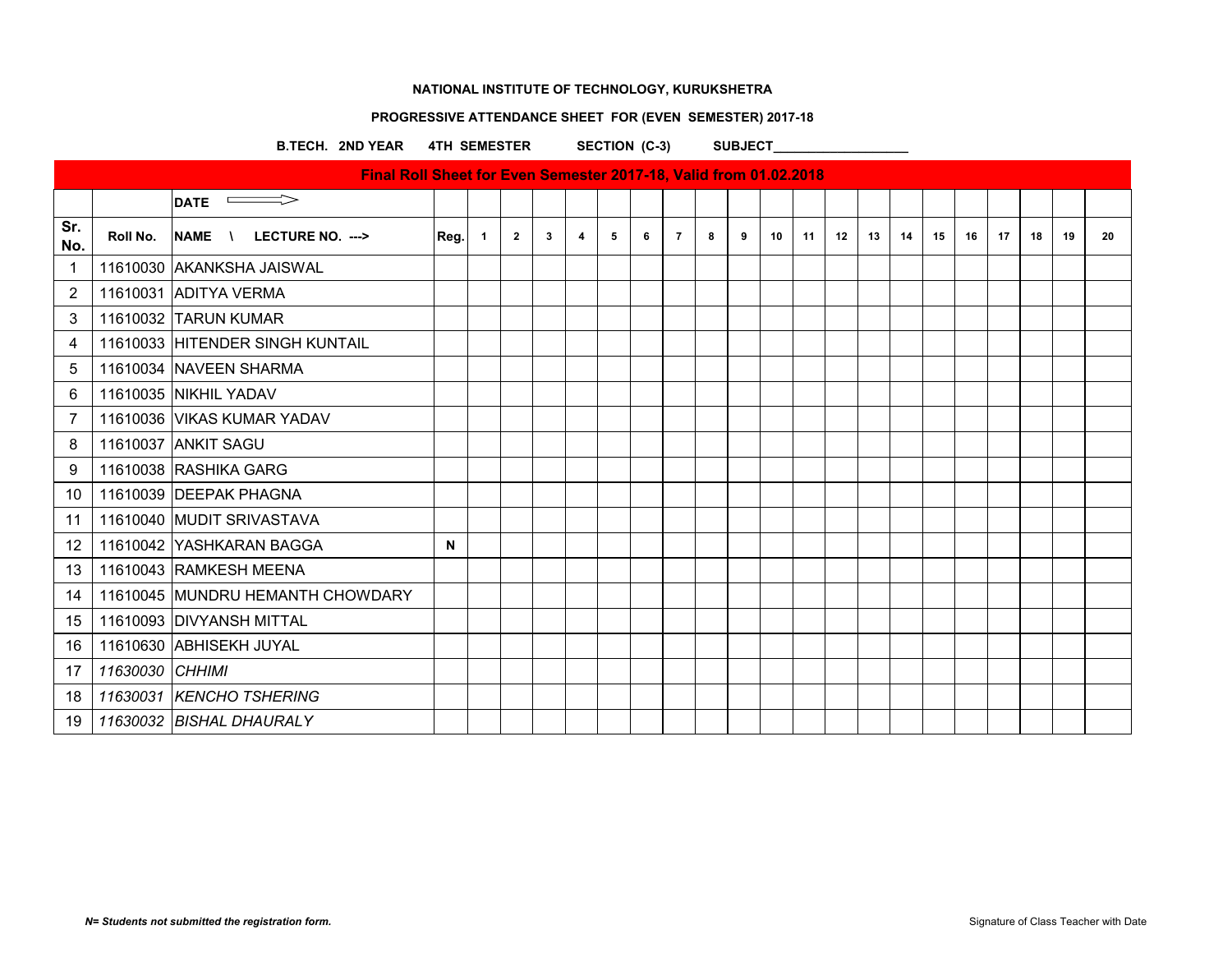### **PROGRESSIVE ATTENDANCE SHEET FOR (EVEN SEMESTER) 2017-18**

B.TECH. 2ND YEAR 4TH SEMESTER SECTION (C-3) SUBJECT

|                |                 | Final Roll Sheet for Even Semester 2017-18, Valid from 01.02.2018 |              |                |                |              |   |   |   |   |   |   |    |    |    |    |    |    |    |    |    |    |    |
|----------------|-----------------|-------------------------------------------------------------------|--------------|----------------|----------------|--------------|---|---|---|---|---|---|----|----|----|----|----|----|----|----|----|----|----|
|                |                 | $\implies$<br><b>DATE</b>                                         |              |                |                |              |   |   |   |   |   |   |    |    |    |    |    |    |    |    |    |    |    |
| Sr.<br>No.     | Roll No.        | NAME \<br><b>LECTURE NO. ---&gt;</b>                              | Reg.         | $\overline{1}$ | $\overline{2}$ | $\mathbf{3}$ | 4 | 5 | 6 | 7 | 8 | 9 | 10 | 11 | 12 | 13 | 14 | 15 | 16 | 17 | 18 | 19 | 20 |
| $\mathbf 1$    |                 | 11610030 AKANKSHA JAISWAL                                         |              |                |                |              |   |   |   |   |   |   |    |    |    |    |    |    |    |    |    |    |    |
| $\overline{2}$ |                 | 11610031 ADITYA VERMA                                             |              |                |                |              |   |   |   |   |   |   |    |    |    |    |    |    |    |    |    |    |    |
| 3              |                 | 11610032 TARUN KUMAR                                              |              |                |                |              |   |   |   |   |   |   |    |    |    |    |    |    |    |    |    |    |    |
| 4              |                 | 11610033 HITENDER SINGH KUNTAIL                                   |              |                |                |              |   |   |   |   |   |   |    |    |    |    |    |    |    |    |    |    |    |
| 5              |                 | 11610034 NAVEEN SHARMA                                            |              |                |                |              |   |   |   |   |   |   |    |    |    |    |    |    |    |    |    |    |    |
| 6              |                 | 11610035 NIKHIL YADAV                                             |              |                |                |              |   |   |   |   |   |   |    |    |    |    |    |    |    |    |    |    |    |
| -7             |                 | 11610036 VIKAS KUMAR YADAV                                        |              |                |                |              |   |   |   |   |   |   |    |    |    |    |    |    |    |    |    |    |    |
| 8              |                 | 11610037 ANKIT SAGU                                               |              |                |                |              |   |   |   |   |   |   |    |    |    |    |    |    |    |    |    |    |    |
| 9              |                 | 11610038 RASHIKA GARG                                             |              |                |                |              |   |   |   |   |   |   |    |    |    |    |    |    |    |    |    |    |    |
| 10             |                 | 11610039 DEEPAK PHAGNA                                            |              |                |                |              |   |   |   |   |   |   |    |    |    |    |    |    |    |    |    |    |    |
| 11             |                 | 11610040 MUDIT SRIVASTAVA                                         |              |                |                |              |   |   |   |   |   |   |    |    |    |    |    |    |    |    |    |    |    |
| 12             |                 | 11610042 YASHKARAN BAGGA                                          | $\mathsf{N}$ |                |                |              |   |   |   |   |   |   |    |    |    |    |    |    |    |    |    |    |    |
| 13             |                 | 11610043 RAMKESH MEENA                                            |              |                |                |              |   |   |   |   |   |   |    |    |    |    |    |    |    |    |    |    |    |
| 14             |                 | 11610045 MUNDRU HEMANTH CHOWDARY                                  |              |                |                |              |   |   |   |   |   |   |    |    |    |    |    |    |    |    |    |    |    |
| 15             |                 | 11610093 DIVYANSH MITTAL                                          |              |                |                |              |   |   |   |   |   |   |    |    |    |    |    |    |    |    |    |    |    |
| 16             |                 | 11610630 ABHISEKH JUYAL                                           |              |                |                |              |   |   |   |   |   |   |    |    |    |    |    |    |    |    |    |    |    |
| 17             | 11630030 CHHIMI |                                                                   |              |                |                |              |   |   |   |   |   |   |    |    |    |    |    |    |    |    |    |    |    |
| 18             |                 | 11630031 KENCHO TSHERING                                          |              |                |                |              |   |   |   |   |   |   |    |    |    |    |    |    |    |    |    |    |    |
| 19             |                 | 11630032 BISHAL DHAURALY                                          |              |                |                |              |   |   |   |   |   |   |    |    |    |    |    |    |    |    |    |    |    |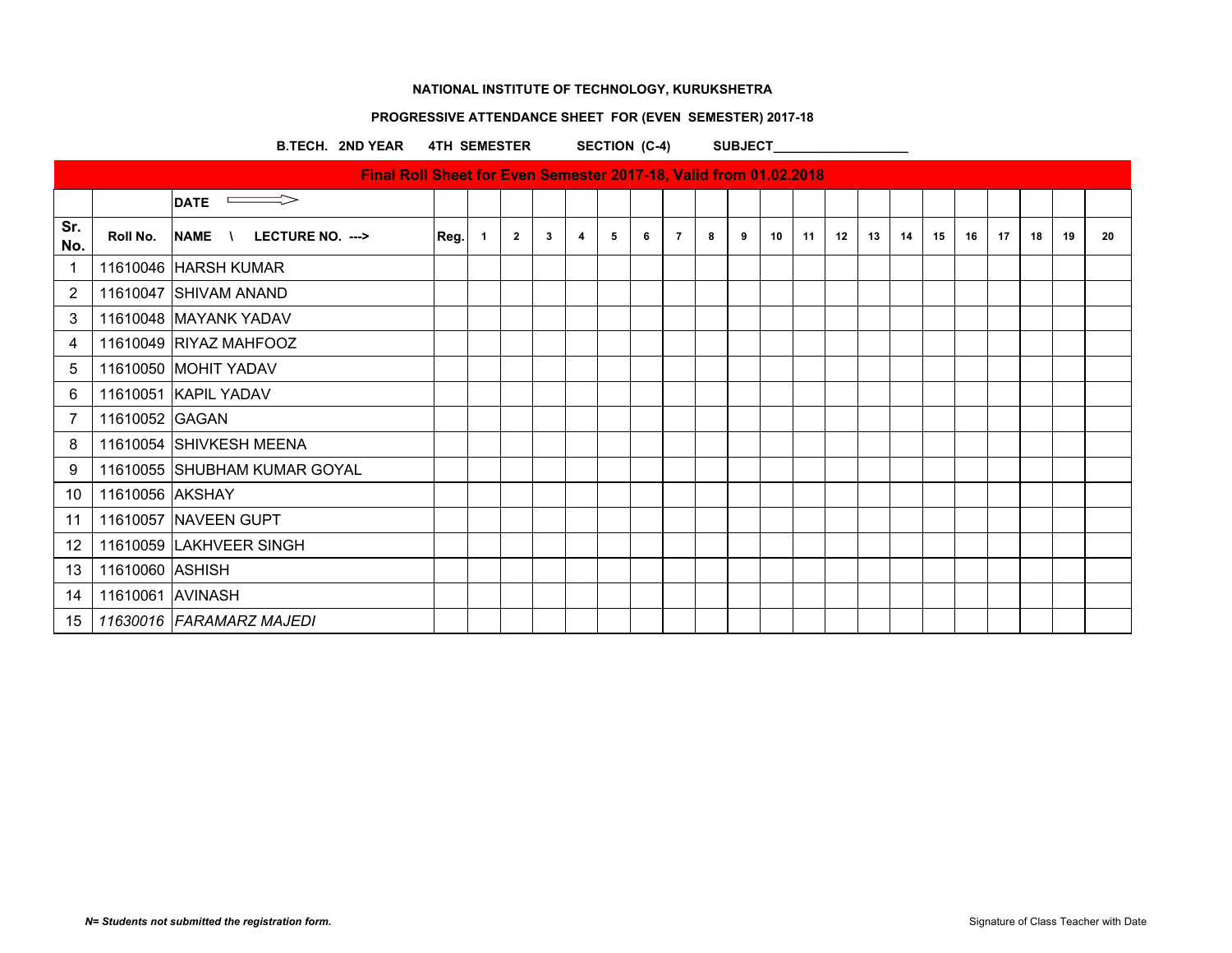## **PROGRESSIVE ATTENDANCE SHEET FOR (EVEN SEMESTER) 2017-18**

B.TECH. 2ND YEAR 4TH SEMESTER SECTION (C-4) SUBJECT

|                |                  | Final Roll Sheet for Even Semester 2017-18, Valid from 01.02.2018 |      |                |                |              |                |   |   |                |   |   |    |    |    |    |    |    |    |    |    |    |    |
|----------------|------------------|-------------------------------------------------------------------|------|----------------|----------------|--------------|----------------|---|---|----------------|---|---|----|----|----|----|----|----|----|----|----|----|----|
|                |                  | DATE $\implies$                                                   |      |                |                |              |                |   |   |                |   |   |    |    |    |    |    |    |    |    |    |    |    |
| Sr.<br>No.     | Roll No.         | NAME \ LECTURE NO. --->                                           | Reg. | $\overline{1}$ | $\overline{2}$ | $\mathbf{3}$ | $\overline{4}$ | 5 | 6 | $\overline{7}$ | 8 | 9 | 10 | 11 | 12 | 13 | 14 | 15 | 16 | 17 | 18 | 19 | 20 |
| $\mathbf{1}$   |                  | 11610046 HARSH KUMAR                                              |      |                |                |              |                |   |   |                |   |   |    |    |    |    |    |    |    |    |    |    |    |
| $\overline{2}$ |                  | 11610047 SHIVAM ANAND                                             |      |                |                |              |                |   |   |                |   |   |    |    |    |    |    |    |    |    |    |    |    |
| 3              |                  | 11610048 MAYANK YADAV                                             |      |                |                |              |                |   |   |                |   |   |    |    |    |    |    |    |    |    |    |    |    |
| 4              |                  | 11610049 RIYAZ MAHFOOZ                                            |      |                |                |              |                |   |   |                |   |   |    |    |    |    |    |    |    |    |    |    |    |
| 5              |                  | 11610050 MOHIT YADAV                                              |      |                |                |              |                |   |   |                |   |   |    |    |    |    |    |    |    |    |    |    |    |
| 6              |                  | 11610051 KAPIL YADAV                                              |      |                |                |              |                |   |   |                |   |   |    |    |    |    |    |    |    |    |    |    |    |
| $\overline{7}$ | 11610052 GAGAN   |                                                                   |      |                |                |              |                |   |   |                |   |   |    |    |    |    |    |    |    |    |    |    |    |
| 8              |                  | 11610054 SHIVKESH MEENA                                           |      |                |                |              |                |   |   |                |   |   |    |    |    |    |    |    |    |    |    |    |    |
| 9              |                  | 11610055 SHUBHAM KUMAR GOYAL                                      |      |                |                |              |                |   |   |                |   |   |    |    |    |    |    |    |    |    |    |    |    |
| 10             | 11610056 AKSHAY  |                                                                   |      |                |                |              |                |   |   |                |   |   |    |    |    |    |    |    |    |    |    |    |    |
| 11             |                  | 11610057 NAVEEN GUPT                                              |      |                |                |              |                |   |   |                |   |   |    |    |    |    |    |    |    |    |    |    |    |
| 12             |                  | 11610059 LAKHVEER SINGH                                           |      |                |                |              |                |   |   |                |   |   |    |    |    |    |    |    |    |    |    |    |    |
| 13             | 11610060 ASHISH  |                                                                   |      |                |                |              |                |   |   |                |   |   |    |    |    |    |    |    |    |    |    |    |    |
| 14             | 11610061 AVINASH |                                                                   |      |                |                |              |                |   |   |                |   |   |    |    |    |    |    |    |    |    |    |    |    |
| 15             |                  | 11630016 FARAMARZ MAJEDI                                          |      |                |                |              |                |   |   |                |   |   |    |    |    |    |    |    |    |    |    |    |    |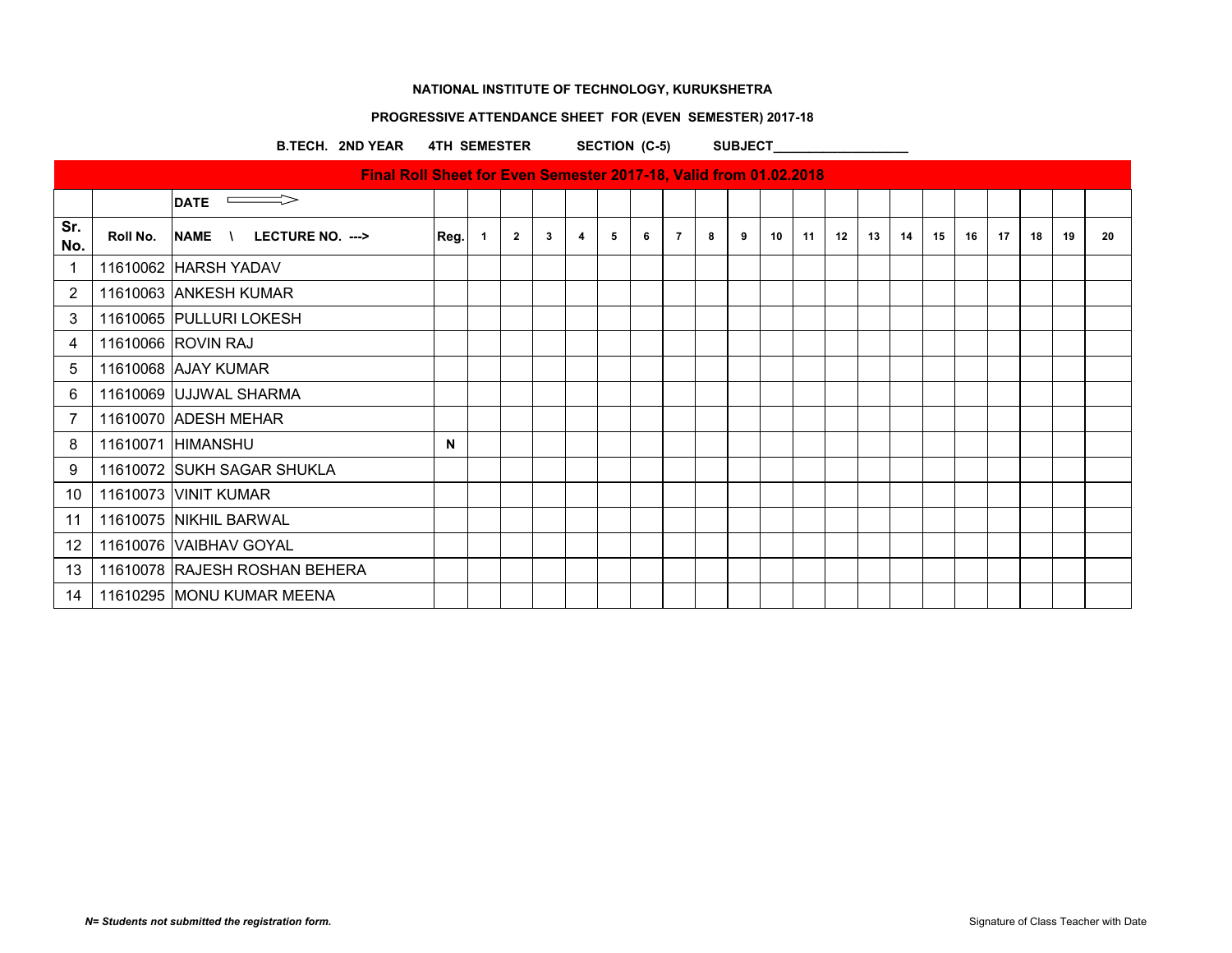## **PROGRESSIVE ATTENDANCE SHEET FOR (EVEN SEMESTER) 2017-18**

B.TECH. 2ND YEAR 4TH SEMESTER SECTION (C-5) SUBJECT

|                |          | <b>DATE</b>                   |      |              |                |              |   |   |   |                |   |   |                 |    |    |    |    |    |    |      |    |    |    |
|----------------|----------|-------------------------------|------|--------------|----------------|--------------|---|---|---|----------------|---|---|-----------------|----|----|----|----|----|----|------|----|----|----|
| Sr.<br>No.     | Roll No. | NAME \<br>LECTURE NO. --->    | Reg. | $\mathbf{1}$ | $\overline{2}$ | $\mathbf{3}$ | 4 | 5 | 6 | $\overline{7}$ | 8 | 9 | 10 <sup>1</sup> | 11 | 12 | 13 | 14 | 15 | 16 | - 17 | 18 | 19 | 20 |
| $\overline{1}$ |          | 11610062 HARSH YADAV          |      |              |                |              |   |   |   |                |   |   |                 |    |    |    |    |    |    |      |    |    |    |
| 2              |          | 11610063 ANKESH KUMAR         |      |              |                |              |   |   |   |                |   |   |                 |    |    |    |    |    |    |      |    |    |    |
| 3              |          | 11610065 PULLURI LOKESH       |      |              |                |              |   |   |   |                |   |   |                 |    |    |    |    |    |    |      |    |    |    |
| 4              |          | 11610066 ROVIN RAJ            |      |              |                |              |   |   |   |                |   |   |                 |    |    |    |    |    |    |      |    |    |    |
| 5              |          | 11610068 AJAY KUMAR           |      |              |                |              |   |   |   |                |   |   |                 |    |    |    |    |    |    |      |    |    |    |
| 6              |          | 11610069 UJJWAL SHARMA        |      |              |                |              |   |   |   |                |   |   |                 |    |    |    |    |    |    |      |    |    |    |
| 7              |          | 11610070 ADESH MEHAR          |      |              |                |              |   |   |   |                |   |   |                 |    |    |    |    |    |    |      |    |    |    |
| 8              |          | 11610071 HIMANSHU             | N    |              |                |              |   |   |   |                |   |   |                 |    |    |    |    |    |    |      |    |    |    |
| 9              |          | 11610072 SUKH SAGAR SHUKLA    |      |              |                |              |   |   |   |                |   |   |                 |    |    |    |    |    |    |      |    |    |    |
| 10             |          | 11610073 VINIT KUMAR          |      |              |                |              |   |   |   |                |   |   |                 |    |    |    |    |    |    |      |    |    |    |
| 11             |          | 11610075 NIKHIL BARWAL        |      |              |                |              |   |   |   |                |   |   |                 |    |    |    |    |    |    |      |    |    |    |
| 12             |          | 11610076 VAIBHAV GOYAL        |      |              |                |              |   |   |   |                |   |   |                 |    |    |    |    |    |    |      |    |    |    |
| 13             |          | 11610078 RAJESH ROSHAN BEHERA |      |              |                |              |   |   |   |                |   |   |                 |    |    |    |    |    |    |      |    |    |    |
| 14             |          | 11610295 MONU KUMAR MEENA     |      |              |                |              |   |   |   |                |   |   |                 |    |    |    |    |    |    |      |    |    |    |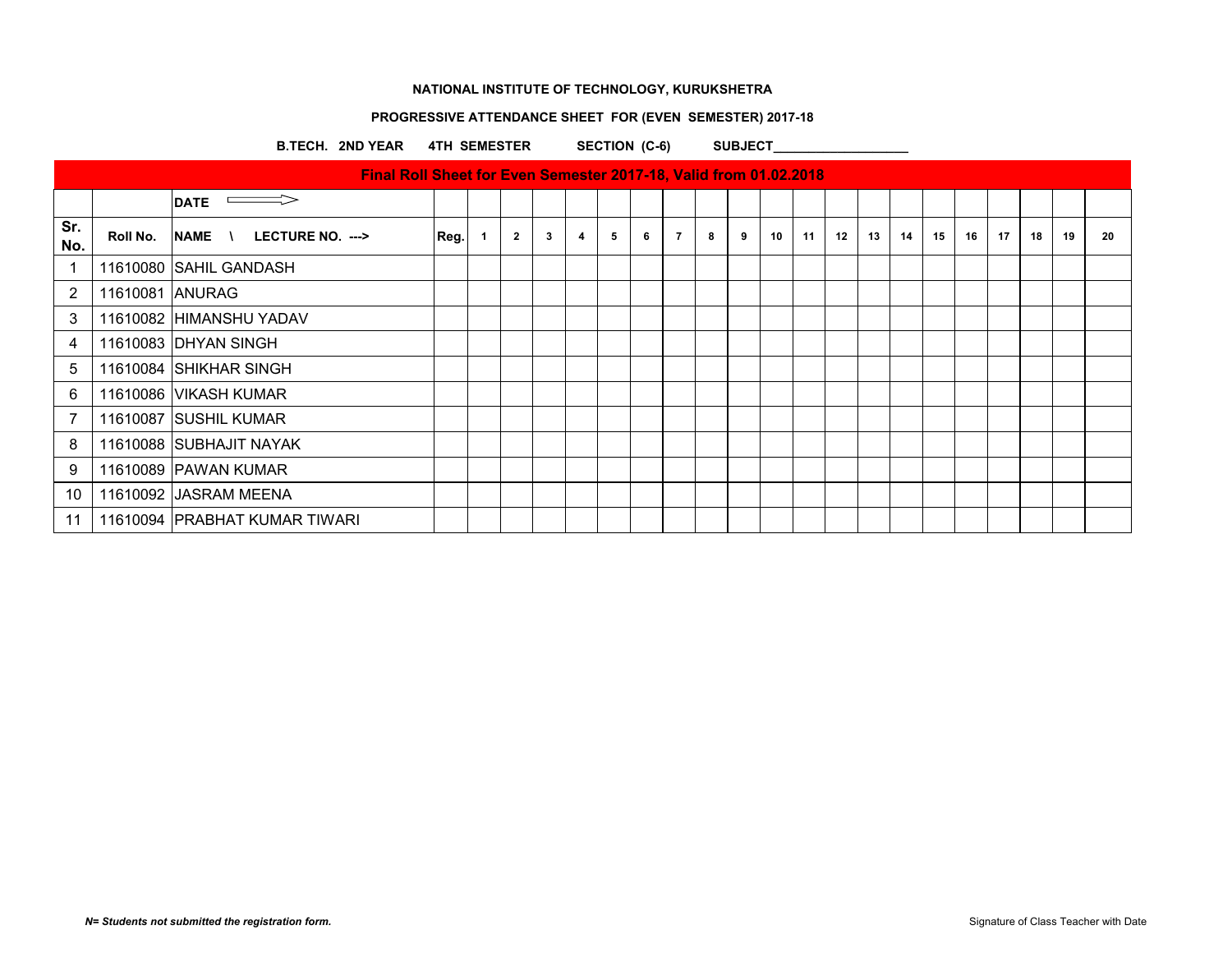## **PROGRESSIVE ATTENDANCE SHEET FOR (EVEN SEMESTER) 2017-18**

B.TECH. 2ND YEAR 4TH SEMESTER SECTION (C-6) SUBJECT

|            |                 | <u>THE ROLL SHOULDED EVER OUR OUR SUIT TO, YOUR HOLL VIRGINITY</u> |      |                |             |                         |   |   |                |   |   |    |    |    |    |    |    |    |    |    |    |    |
|------------|-----------------|--------------------------------------------------------------------|------|----------------|-------------|-------------------------|---|---|----------------|---|---|----|----|----|----|----|----|----|----|----|----|----|
|            |                 | <b>DATE</b>                                                        |      |                |             |                         |   |   |                |   |   |    |    |    |    |    |    |    |    |    |    |    |
| Sr.<br>No. | Roll No.        | NAME \ LECTURE NO. --->                                            | Reg. | $\overline{2}$ | $3^{\circ}$ | $\overline{\mathbf{4}}$ | 5 | 6 | $\overline{7}$ | 8 | 9 | 10 | 11 | 12 | 13 | 14 | 15 | 16 | 17 | 18 | 19 | 20 |
| -1         |                 | 11610080 SAHIL GANDASH                                             |      |                |             |                         |   |   |                |   |   |    |    |    |    |    |    |    |    |    |    |    |
| 2          | 11610081 ANURAG |                                                                    |      |                |             |                         |   |   |                |   |   |    |    |    |    |    |    |    |    |    |    |    |
| 3          |                 | 11610082 HIMANSHU YADAV                                            |      |                |             |                         |   |   |                |   |   |    |    |    |    |    |    |    |    |    |    |    |
| 4          |                 | 11610083 DHYAN SINGH                                               |      |                |             |                         |   |   |                |   |   |    |    |    |    |    |    |    |    |    |    |    |
| 5          |                 | 11610084 SHIKHAR SINGH                                             |      |                |             |                         |   |   |                |   |   |    |    |    |    |    |    |    |    |    |    |    |
| 6          |                 | 11610086   VIKASH KUMAR                                            |      |                |             |                         |   |   |                |   |   |    |    |    |    |    |    |    |    |    |    |    |
| 7          |                 | 11610087 SUSHIL KUMAR                                              |      |                |             |                         |   |   |                |   |   |    |    |    |    |    |    |    |    |    |    |    |
| 8          |                 | 11610088 SUBHAJIT NAYAK                                            |      |                |             |                         |   |   |                |   |   |    |    |    |    |    |    |    |    |    |    |    |
| 9          |                 | 11610089 PAWAN KUMAR                                               |      |                |             |                         |   |   |                |   |   |    |    |    |    |    |    |    |    |    |    |    |
| 10         |                 | 11610092 JASRAM MEENA                                              |      |                |             |                         |   |   |                |   |   |    |    |    |    |    |    |    |    |    |    |    |
| 11         |                 | 11610094 PRABHAT KUMAR TIWARI                                      |      |                |             |                         |   |   |                |   |   |    |    |    |    |    |    |    |    |    |    |    |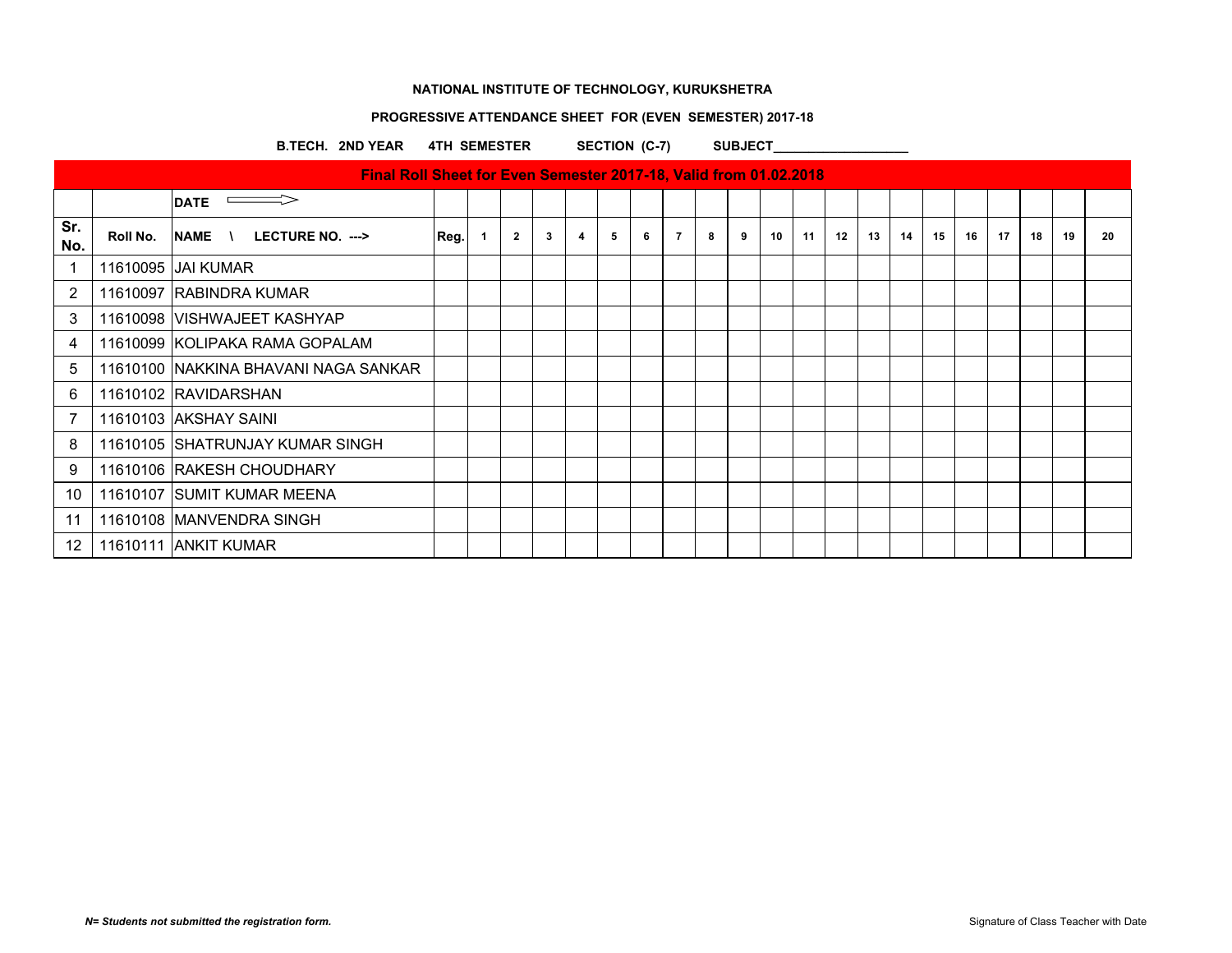## **PROGRESSIVE ATTENDANCE SHEET FOR (EVEN SEMESTER) 2017-18**

B.TECH. 2ND YEAR 4TH SEMESTER SECTION (C-7) SUBJECT\_

|                |          | <b>DATE</b>                             |      |              |   |   |   |   |                |   |   |    |    |    |    |    |    |    |    |    |    |    |
|----------------|----------|-----------------------------------------|------|--------------|---|---|---|---|----------------|---|---|----|----|----|----|----|----|----|----|----|----|----|
| Sr.<br>No.     | Roll No. | $NAME \cup LECTURE NO. \longrightarrow$ | Reg. | $\mathbf{2}$ | 3 | 4 | 5 | 6 | $\overline{7}$ | 8 | 9 | 10 | 11 | 12 | 13 | 14 | 15 | 16 | 17 | 18 | 19 | 20 |
| 1              |          | 11610095 JJAI KUMAR                     |      |              |   |   |   |   |                |   |   |    |    |    |    |    |    |    |    |    |    |    |
| $\overline{2}$ |          | 11610097 RABINDRA KUMAR                 |      |              |   |   |   |   |                |   |   |    |    |    |    |    |    |    |    |    |    |    |
| 3              |          | 11610098   VISHWAJEET KASHYAP           |      |              |   |   |   |   |                |   |   |    |    |    |    |    |    |    |    |    |    |    |
| 4              |          | 11610099 KOLIPAKA RAMA GOPALAM          |      |              |   |   |   |   |                |   |   |    |    |    |    |    |    |    |    |    |    |    |
| 5              |          | 11610100 INAKKINA BHAVANI NAGA SANKAR   |      |              |   |   |   |   |                |   |   |    |    |    |    |    |    |    |    |    |    |    |
| 6              |          | 11610102 RAVIDARSHAN                    |      |              |   |   |   |   |                |   |   |    |    |    |    |    |    |    |    |    |    |    |
| 7              |          | 11610103 AKSHAY SAINI                   |      |              |   |   |   |   |                |   |   |    |    |    |    |    |    |    |    |    |    |    |
| 8              |          | 11610105 SHATRUNJAY KUMAR SINGH         |      |              |   |   |   |   |                |   |   |    |    |    |    |    |    |    |    |    |    |    |
| 9              |          | 11610106 RAKESH CHOUDHARY               |      |              |   |   |   |   |                |   |   |    |    |    |    |    |    |    |    |    |    |    |
| 10             |          | 11610107 SUMIT KUMAR MEENA              |      |              |   |   |   |   |                |   |   |    |    |    |    |    |    |    |    |    |    |    |
| 11             |          | 11610108 MANVENDRA SINGH                |      |              |   |   |   |   |                |   |   |    |    |    |    |    |    |    |    |    |    |    |
| 12             |          | 11610111 ANKIT KUMAR                    |      |              |   |   |   |   |                |   |   |    |    |    |    |    |    |    |    |    |    |    |